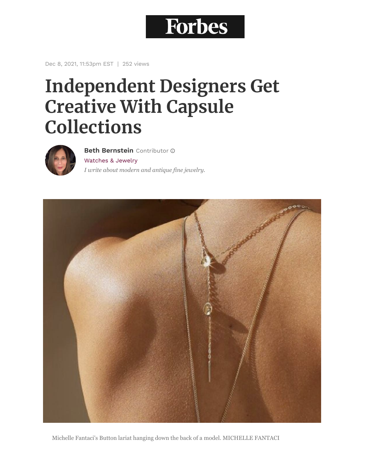## **Forbes**

Dec 8, 2021, 11:53pm EST | 252 views

## **Independent Designers Get Creative With Capsule Collections**



[Watches & Jewelry](https://www.forbes.com/watches-jewelry) *I write about modern and antique fine jewelry.* **[Beth Bernstein](https://www.forbes.com/sites/bethbernstein/)** Contributor



Michelle Fantaci's Button lariat hanging down the back of a model. MICHELLE FANTACI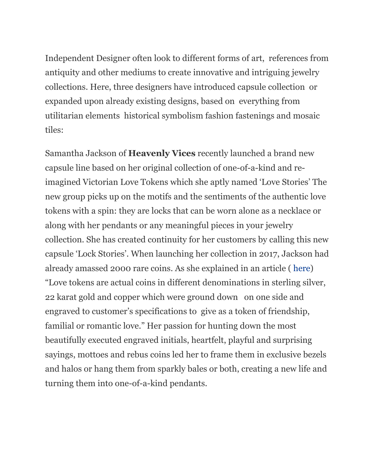Independent Designer often look to different forms of art, references from antiquity and other mediums to create innovative and intriguing jewelry collections. Here, three designers have introduced capsule collection or expanded upon already existing designs, based on everything from utilitarian elements historical symbolism fashion fastenings and mosaic tiles:

Samantha Jackson of **Heavenly Vices** recently launched a brand new capsule line based on her original collection of one-of-a-kind and reimagined Victorian Love Tokens which she aptly named 'Love Stories' The new group picks up on the motifs and the sentiments of the authentic love tokens with a spin: they are locks that can be worn alone as a necklace or along with her pendants or any meaningful pieces in your jewelry collection. She has created continuity for her customers by calling this new capsule 'Lock Stories'. When launching her collection in 2017, Jackson had already amassed 2000 rare coins. As she explained in an article ( [here\)](https://hyperlinknote)forbes.com/sites/bethbernstein/2019/04/24/romancing-the-coin-samantha-jackson-breathes-new-life-into-sentimental-treasures/?sh=3fef57ee11a6) "Love tokens are actual coins in different denominations in sterling silver, 22 karat gold and copper which were ground down on one side and engraved to customer's specifications to give as a token of friendship, familial or romantic love." Her passion for hunting down the most beautifully executed engraved initials, heartfelt, playful and surprising sayings, mottoes and rebus coins led her to frame them in exclusive bezels and halos or hang them from sparkly bales or both, creating a new life and turning them into one-of-a-kind pendants.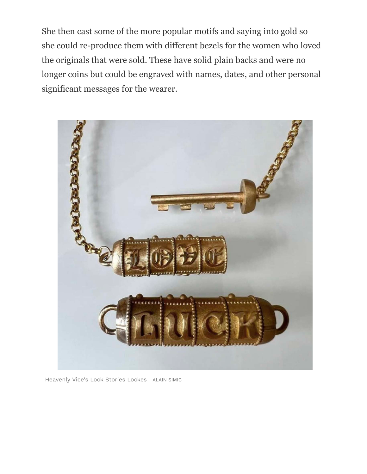She then cast some of the more popular motifs and saying into gold so she could re-produce them with different bezels for the women who loved the originals that were sold. These have solid plain backs and were no longer coins but could be engraved with names, dates, and other personal significant messages for the wearer.



Heavenly Vice's Lock Stories Lockes ALAIN SIMIC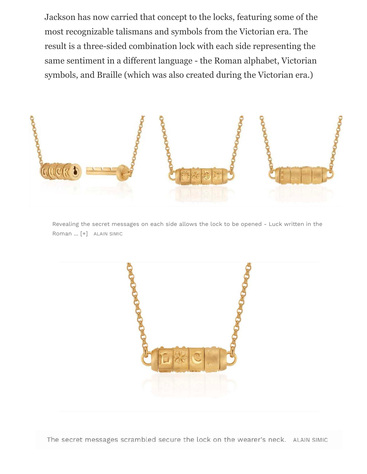Jackson has now carried that concept to the locks, featuring some of the most recognizable talismans and symbols from the Victorian era. The result is a three-sided combination lock with each side representing the same sentiment in a different language - the Roman alphabet, Victorian symbols, and Braille (which was also created during the Victorian era.)



Revealing the secret messages on each side allows the lock to be opened - Luck written in the Roman ... [+] ALAIN SIMIC

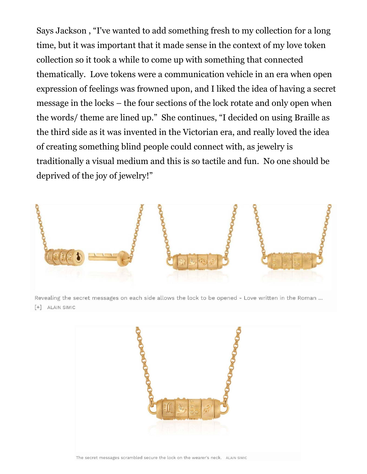Says Jackson , "I've wanted to add something fresh to my collection for a long time, but it was important that it made sense in the context of my love token collection so it took a while to come up with something that connected thematically. Love tokens were a communication vehicle in an era when open expression of feelings was frowned upon, and I liked the idea of having a secret message in the locks – the four sections of the lock rotate and only open when the words/ theme are lined up." She continues, "I decided on using Braille as the third side as it was invented in the Victorian era, and really loved the idea of creating something blind people could connect with, as jewelry is traditionally a visual medium and this is so tactile and fun. No one should be deprived of the joy of jewelry!"



Revealing the secret messages on each side allows the lock to be opened - Love written in the Roman ... [+] ALAIN SIMIC

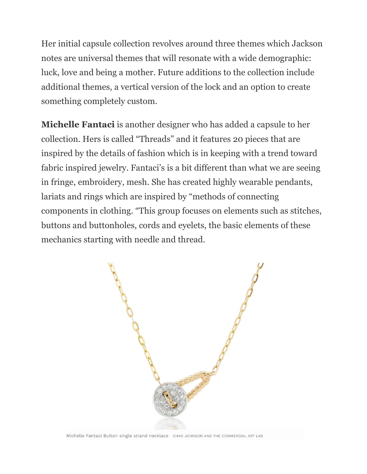Her initial capsule collection revolves around three themes which Jackson notes are universal themes that will resonate with a wide demographic: luck, love and being a mother. Future additions to the collection include additional themes, a vertical version of the lock and an option to create something completely custom.

**Michelle Fantaci** is another designer who has added a capsule to her collection. Hers is called "Threads" and it features 20 pieces that are inspired by the details of fashion which is in keeping with a trend toward fabric inspired jewelry. Fantaci's is a bit different than what we are seeing in fringe, embroidery, mesh. She has created highly wearable pendants, lariats and rings which are inspired by "methods of connecting components in clothing. "This group focuses on elements such as stitches, buttons and buttonholes, cords and eyelets, the basic elements of these mechanics starting with needle and thread.

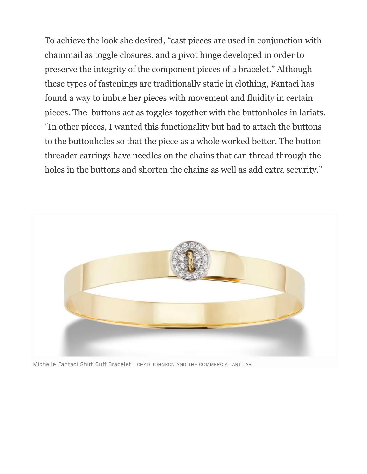To achieve the look she desired, "cast pieces are used in conjunction with chainmail as toggle closures, and a pivot hinge developed in order to preserve the integrity of the component pieces of a bracelet." Although these types of fastenings are traditionally static in clothing, Fantaci has found a way to imbue her pieces with movement and fluidity in certain pieces. The buttons act as toggles together with the buttonholes in lariats. "In other pieces, I wanted this functionality but had to attach the buttons to the buttonholes so that the piece as a whole worked better. The button threader earrings have needles on the chains that can thread through the holes in the buttons and shorten the chains as well as add extra security."



Michelle Fantaci Shirt Cuff Bracelet CHAD JOHNSON AND THE COMMERCIAL ART LAB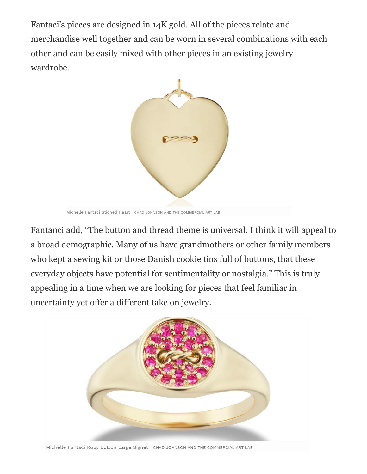Fantaci's pieces are designed in 14K gold. All of the pieces relate and merchandise well together and can be worn in several combinations with each other and can be easily mixed with other pieces in an existing jewelry wardrobe.



Michelle Fantaci Stiched Heart CHAD JOHNSON AND THE COMMERCIAL ART LAB

Fantanci add, "The button and thread theme is universal. I think it will appeal to a broad demographic. Many of us have grandmothers or other family members who kept a sewing kit or those Danish cookie tins full of buttons, that these everyday objects have potential for sentimentality or nostalgia." This is truly appealing in a time when we are looking for pieces that feel familiar in uncertainty yet offer a different take on jewelry.



Michelle Fantaci Ruby Button Large Signet CHAD JOHNSON AND THE COMMERCIAL ART LAB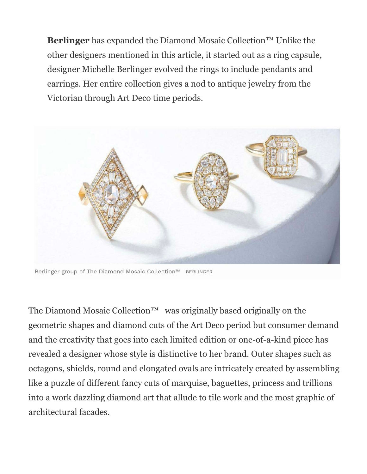**Berlinger** has expanded the Diamond Mosaic Collection™ Unlike the other designers mentioned in this article, it started out as a ring capsule, designer Michelle Berlinger evolved the rings to include pendants and earrings. Her entire collection gives a nod to antique jewelry from the Victorian through Art Deco time periods.



Berlinger group of The Diamond Mosaic Collection™ BERLINGER

The Diamond Mosaic Collection<sup>™</sup> was originally based originally on the geometric shapes and diamond cuts of the Art Deco period but consumer demand and the creativity that goes into each limited edition or one-of-a-kind piece has revealed a designer whose style is distinctive to her brand. Outer shapes such as octagons, shields, round and elongated ovals are intricately created by assembling like a puzzle of different fancy cuts of marquise, baguettes, princess and trillions into a work dazzling diamond art that allude to tile work and the most graphic of architectural facades.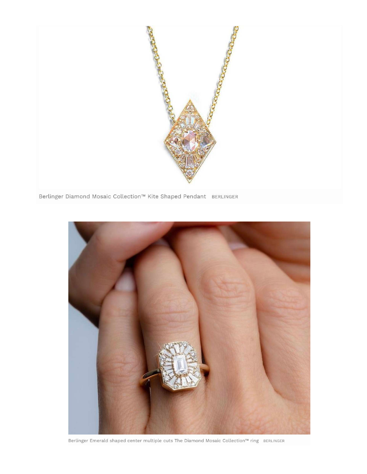



Berlinger Emerald shaped center multiple cuts The Diamond Mosaic Collection™ ring BERLINGER